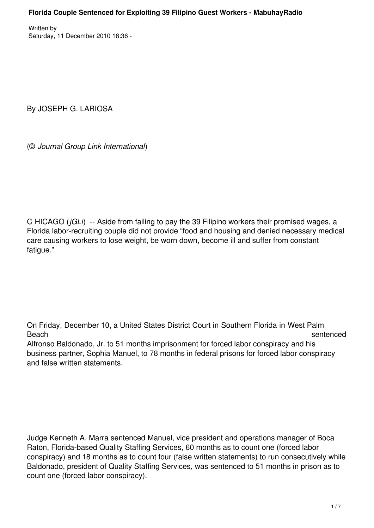By JOSEPH G. LARIOSA

(© *Journal Group Link International*)

C HICAGO (*jGLi*) -- Aside from failing to pay the 39 Filipino workers their promised wages, a Florida labor-recruiting couple did not provide "food and housing and denied necessary medical care causing workers to lose weight, be worn down, become ill and suffer from constant fatigue."

On Friday, December 10, a United States District Court in Southern Florida in West Palm Beach sentenced Alfronso Baldonado, Jr. to 51 months imprisonment for forced labor conspiracy and his

business partner, Sophia Manuel, to 78 months in federal prisons for forced labor conspiracy and false written statements.

Judge Kenneth A. Marra sentenced Manuel, vice president and operations manager of Boca Raton, Florida-based Quality Staffing Services, 60 months as to count one (forced labor conspiracy) and 18 months as to count four (false written statements) to run consecutively while Baldonado, president of Quality Staffing Services, was sentenced to 51 months in prison as to count one (forced labor conspiracy).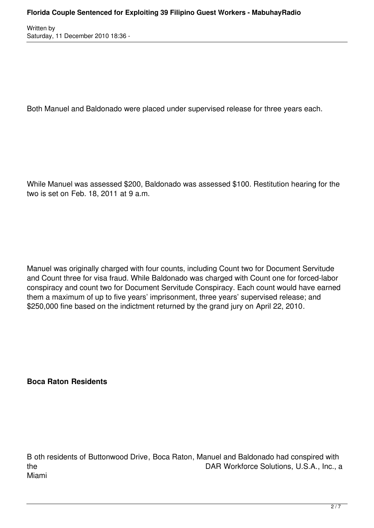Both Manuel and Baldonado were placed under supervised release for three years each.

While Manuel was assessed \$200, Baldonado was assessed \$100. Restitution hearing for the two is set on Feb. 18, 2011 at 9 a.m.

Manuel was originally charged with four counts, including Count two for Document Servitude and Count three for visa fraud. While Baldonado was charged with Count one for forced-labor conspiracy and count two for Document Servitude Conspiracy. Each count would have earned them a maximum of up to five years' imprisonment, three years' supervised release; and \$250,000 fine based on the indictment returned by the grand jury on April 22, 2010.

**Boca Raton Residents**

B oth residents of Buttonwood Drive, Boca Raton, Manuel and Baldonado had conspired with the DAR Workforce Solutions, U.S.A., Inc., a Miami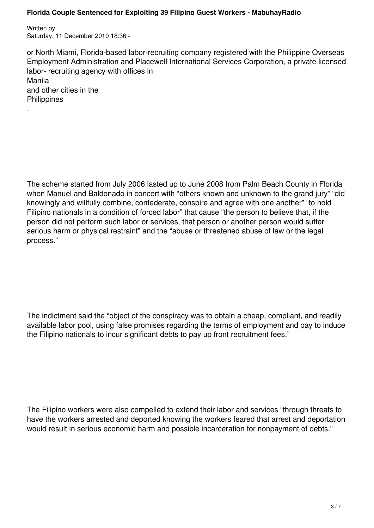## **Florida Couple Sentenced for Exploiting 39 Filipino Guest Workers - MabuhayRadio**

Written by Saturday, 11 December 2010 18:36 -

.

or North Miami, Florida-based labor-recruiting company registered with the Philippine Overseas Employment Administration and Placewell International Services Corporation, a private licensed labor- recruiting agency with offices in Manila and other cities in the **Philippines** 

The scheme started from July 2006 lasted up to June 2008 from Palm Beach County in Florida when Manuel and Baldonado in concert with "others known and unknown to the grand jury" "did knowingly and willfully combine, confederate, conspire and agree with one another" "to hold Filipino nationals in a condition of forced labor" that cause "the person to believe that, if the person did not perform such labor or services, that person or another person would suffer serious harm or physical restraint" and the "abuse or threatened abuse of law or the legal process."

The indictment said the "object of the conspiracy was to obtain a cheap, compliant, and readily available labor pool, using false promises regarding the terms of employment and pay to induce the Filipino nationals to incur significant debts to pay up front recruitment fees."

The Filipino workers were also compelled to extend their labor and services "through threats to have the workers arrested and deported knowing the workers feared that arrest and deportation would result in serious economic harm and possible incarceration for nonpayment of debts."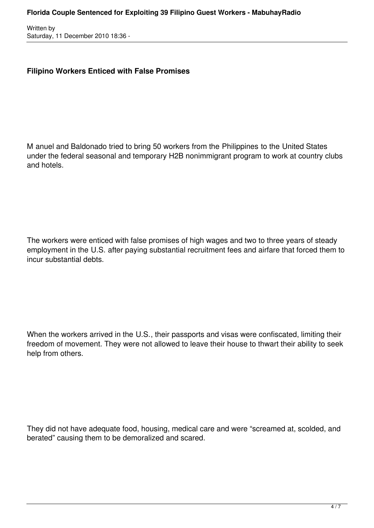## **Filipino Workers Enticed with False Promises**

M anuel and Baldonado tried to bring 50 workers from the Philippines to the United States under the federal seasonal and temporary H2B nonimmigrant program to work at country clubs and hotels.

The workers were enticed with false promises of high wages and two to three years of steady employment in the U.S. after paying substantial recruitment fees and airfare that forced them to incur substantial debts.

When the workers arrived in the U.S., their passports and visas were confiscated, limiting their freedom of movement. They were not allowed to leave their house to thwart their ability to seek help from others.

They did not have adequate food, housing, medical care and were "screamed at, scolded, and berated" causing them to be demoralized and scared.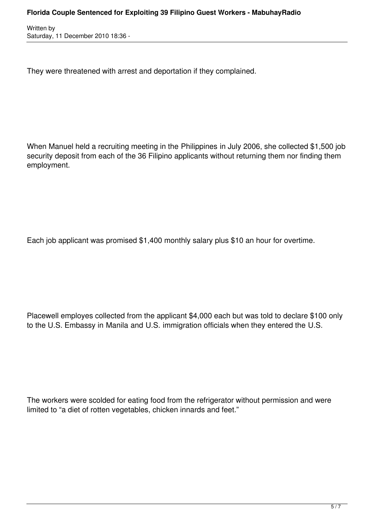They were threatened with arrest and deportation if they complained.

When Manuel held a recruiting meeting in the Philippines in July 2006, she collected \$1,500 job security deposit from each of the 36 Filipino applicants without returning them nor finding them employment.

Each job applicant was promised \$1,400 monthly salary plus \$10 an hour for overtime.

Placewell employes collected from the applicant \$4,000 each but was told to declare \$100 only to the U.S. Embassy in Manila and U.S. immigration officials when they entered the U.S.

The workers were scolded for eating food from the refrigerator without permission and were limited to "a diet of rotten vegetables, chicken innards and feet."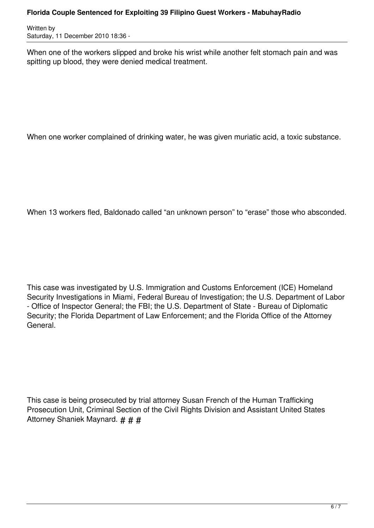## **Florida Couple Sentenced for Exploiting 39 Filipino Guest Workers - MabuhayRadio**

Written by Saturday, 11 December 2010 18:36 -

When one of the workers slipped and broke his wrist while another felt stomach pain and was spitting up blood, they were denied medical treatment.

When one worker complained of drinking water, he was given muriatic acid, a toxic substance.

When 13 workers fled, Baldonado called "an unknown person" to "erase" those who absconded.

This case was investigated by U.S. Immigration and Customs Enforcement (ICE) Homeland Security Investigations in Miami, Federal Bureau of Investigation; the U.S. Department of Labor - Office of Inspector General; the FBI; the U.S. Department of State - Bureau of Diplomatic Security; the Florida Department of Law Enforcement; and the Florida Office of the Attorney General.

This case is being prosecuted by trial attorney Susan French of the Human Trafficking Prosecution Unit, Criminal Section of the Civil Rights Division and Assistant United States Attorney Shaniek Maynard. # # #